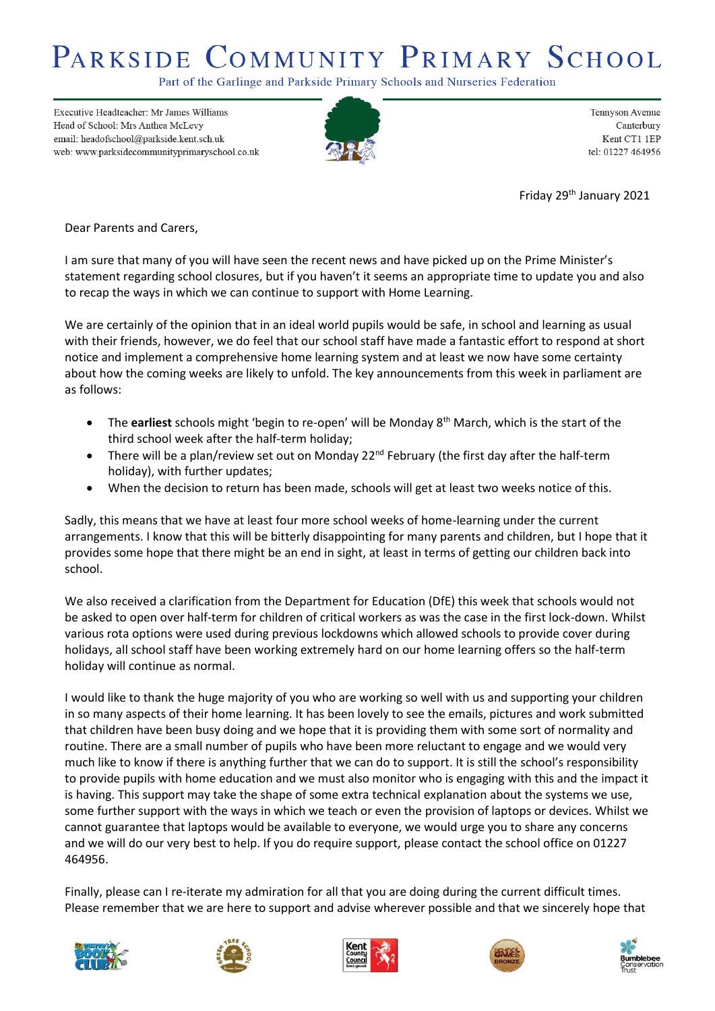## PARKSIDE COMMUNITY PRIMARY SCHOOL

Part of the Garlinge and Parkside Primary Schools and Nurseries Federation

Executive Headteacher: Mr James Williams Head of School: Mrs Anthea McLevy email: headofschool@parkside.kent.sch.uk web: www.parksidecommunityprimaryschool.co.uk



Tennyson Avenue Canterbury Kent CT1 1EP tel: 01227 464956

Friday 29th January 2021

Dear Parents and Carers,

I am sure that many of you will have seen the recent news and have picked up on the Prime Minister's statement regarding school closures, but if you haven't it seems an appropriate time to update you and also to recap the ways in which we can continue to support with Home Learning.

We are certainly of the opinion that in an ideal world pupils would be safe, in school and learning as usual with their friends, however, we do feel that our school staff have made a fantastic effort to respond at short notice and implement a comprehensive home learning system and at least we now have some certainty about how the coming weeks are likely to unfold. The key announcements from this week in parliament are as follows:

- The **earliest** schools might 'begin to re-open' will be Monday 8th March, which is the start of the third school week after the half-term holiday;
- There will be a plan/review set out on Monday 22<sup>nd</sup> February (the first day after the half-term holiday), with further updates;
- When the decision to return has been made, schools will get at least two weeks notice of this.

Sadly, this means that we have at least four more school weeks of home-learning under the current arrangements. I know that this will be bitterly disappointing for many parents and children, but I hope that it provides some hope that there might be an end in sight, at least in terms of getting our children back into school.

We also received a clarification from the Department for Education (DfE) this week that schools would not be asked to open over half-term for children of critical workers as was the case in the first lock-down. Whilst various rota options were used during previous lockdowns which allowed schools to provide cover during holidays, all school staff have been working extremely hard on our home learning offers so the half-term holiday will continue as normal.

I would like to thank the huge majority of you who are working so well with us and supporting your children in so many aspects of their home learning. It has been lovely to see the emails, pictures and work submitted that children have been busy doing and we hope that it is providing them with some sort of normality and routine. There are a small number of pupils who have been more reluctant to engage and we would very much like to know if there is anything further that we can do to support. It is still the school's responsibility to provide pupils with home education and we must also monitor who is engaging with this and the impact it is having. This support may take the shape of some extra technical explanation about the systems we use, some further support with the ways in which we teach or even the provision of laptops or devices. Whilst we cannot guarantee that laptops would be available to everyone, we would urge you to share any concerns and we will do our very best to help. If you do require support, please contact the school office on 01227 464956.

Finally, please can I re-iterate my admiration for all that you are doing during the current difficult times. Please remember that we are here to support and advise wherever possible and that we sincerely hope that